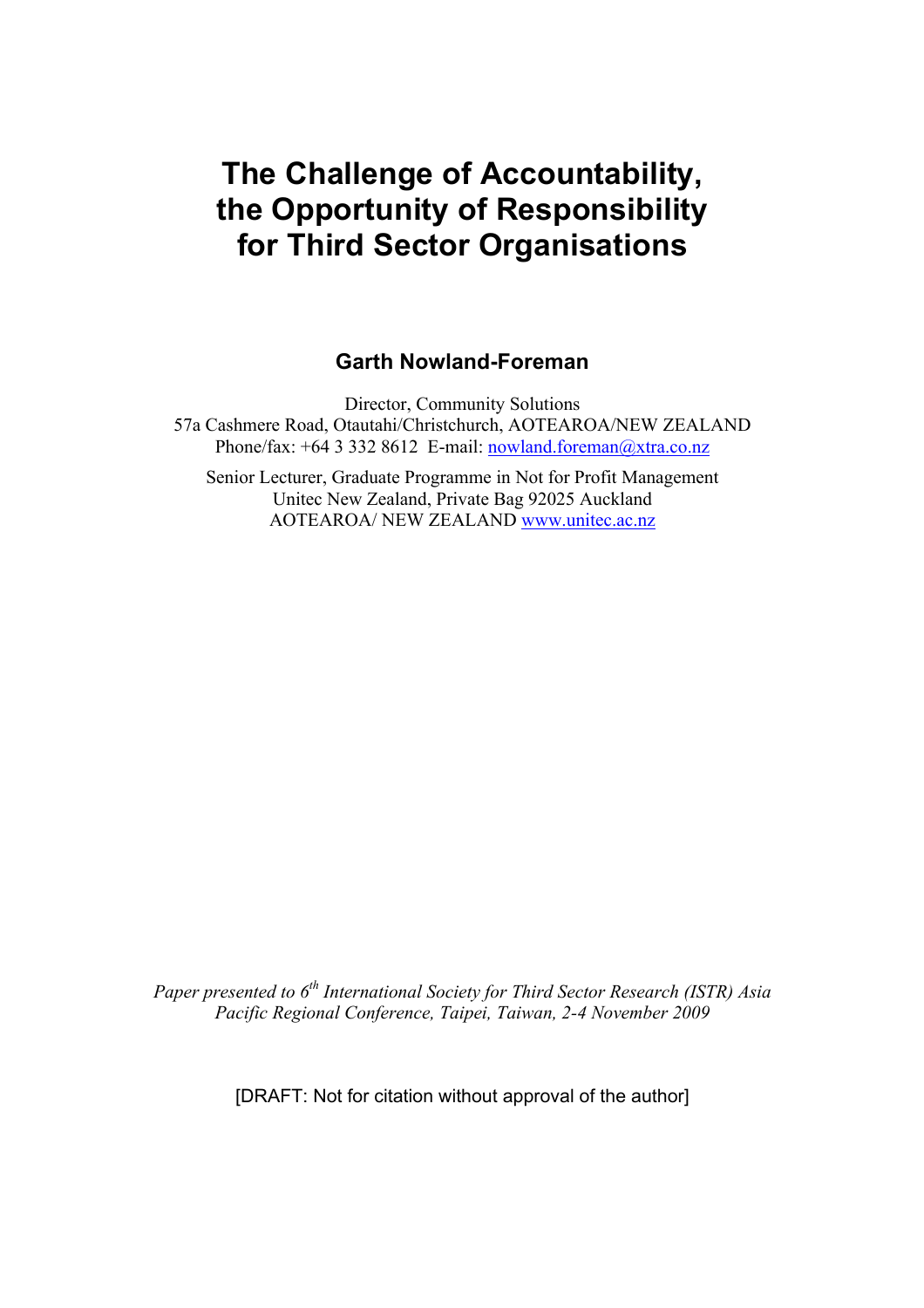# **The Challenge of Accountability, the Opportunity of Responsibility for Third Sector Organisations**

## **Garth Nowland-Foreman**

Director, Community Solutions 57a Cashmere Road, Otautahi/Christchurch, AOTEAROA/NEW ZEALAND Phone/fax:  $+64$  3 332 8612 E-mail: nowland.foreman@xtra.co.nz

Senior Lecturer, Graduate Programme in Not for Profit Management Unitec New Zealand, Private Bag 92025 Auckland AOTEAROA/ NEW ZEALAND www.unitec.ac.nz

*Paper presented to 6th International Society for Third Sector Research (ISTR) Asia Pacific Regional Conference, Taipei, Taiwan, 2-4 November 2009*

[DRAFT: Not for citation without approval of the author]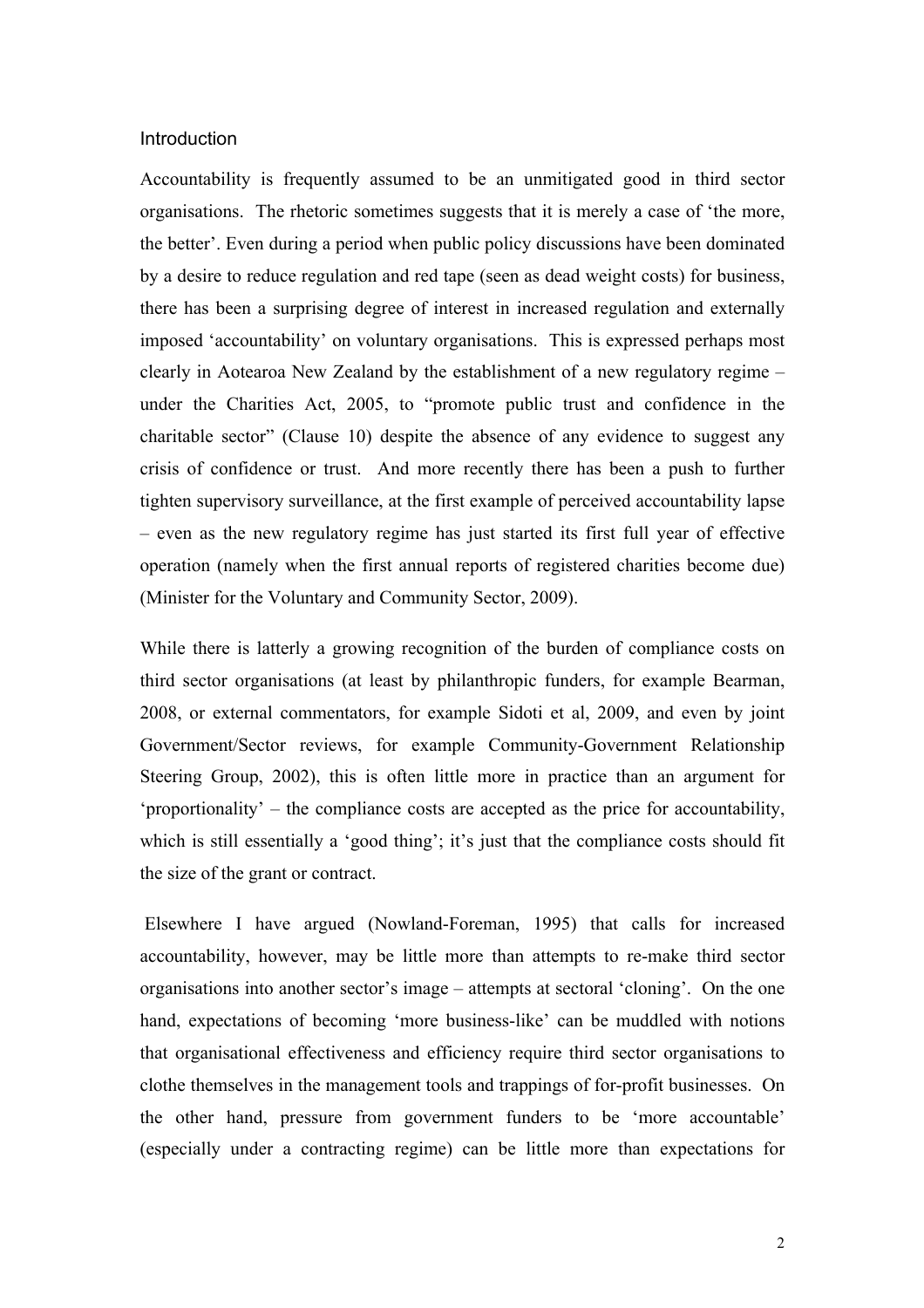#### **Introduction**

Accountability is frequently assumed to be an unmitigated good in third sector organisations. The rhetoric sometimes suggests that it is merely a case of 'the more, the better'. Even during a period when public policy discussions have been dominated by a desire to reduce regulation and red tape (seen as dead weight costs) for business, there has been a surprising degree of interest in increased regulation and externally imposed 'accountability' on voluntary organisations. This is expressed perhaps most clearly in Aotearoa New Zealand by the establishment of a new regulatory regime – under the Charities Act, 2005, to "promote public trust and confidence in the charitable sector" (Clause 10) despite the absence of any evidence to suggest any crisis of confidence or trust. And more recently there has been a push to further tighten supervisory surveillance, at the first example of perceived accountability lapse – even as the new regulatory regime has just started its first full year of effective operation (namely when the first annual reports of registered charities become due) (Minister for the Voluntary and Community Sector, 2009).

While there is latterly a growing recognition of the burden of compliance costs on third sector organisations (at least by philanthropic funders, for example Bearman, 2008, or external commentators, for example Sidoti et al, 2009, and even by joint Government/Sector reviews, for example Community-Government Relationship Steering Group, 2002), this is often little more in practice than an argument for 'proportionality' – the compliance costs are accepted as the price for accountability, which is still essentially a 'good thing'; it's just that the compliance costs should fit the size of the grant or contract.

 Elsewhere I have argued (Nowland-Foreman, 1995) that calls for increased accountability, however, may be little more than attempts to re-make third sector organisations into another sector's image – attempts at sectoral 'cloning'. On the one hand, expectations of becoming 'more business-like' can be muddled with notions that organisational effectiveness and efficiency require third sector organisations to clothe themselves in the management tools and trappings of for-profit businesses. On the other hand, pressure from government funders to be 'more accountable' (especially under a contracting regime) can be little more than expectations for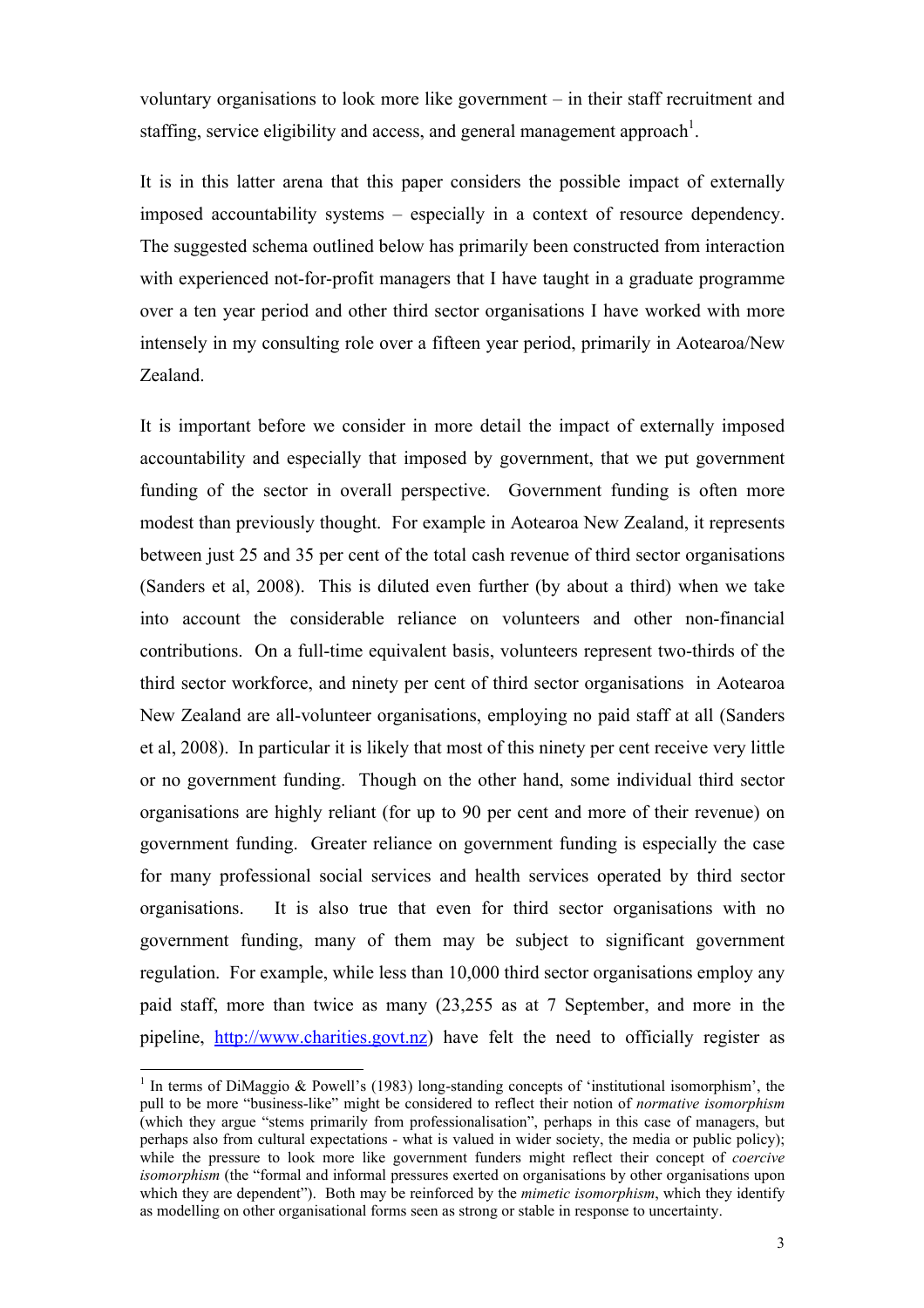voluntary organisations to look more like government – in their staff recruitment and staffing, service eligibility and access, and general management approach<sup>1</sup>.

It is in this latter arena that this paper considers the possible impact of externally imposed accountability systems – especially in a context of resource dependency. The suggested schema outlined below has primarily been constructed from interaction with experienced not-for-profit managers that I have taught in a graduate programme over a ten year period and other third sector organisations I have worked with more intensely in my consulting role over a fifteen year period, primarily in Aotearoa/New Zealand.

It is important before we consider in more detail the impact of externally imposed accountability and especially that imposed by government, that we put government funding of the sector in overall perspective. Government funding is often more modest than previously thought. For example in Aotearoa New Zealand, it represents between just 25 and 35 per cent of the total cash revenue of third sector organisations (Sanders et al, 2008). This is diluted even further (by about a third) when we take into account the considerable reliance on volunteers and other non-financial contributions. On a full-time equivalent basis, volunteers represent two-thirds of the third sector workforce, and ninety per cent of third sector organisations in Aotearoa New Zealand are all-volunteer organisations, employing no paid staff at all (Sanders et al, 2008). In particular it is likely that most of this ninety per cent receive very little or no government funding. Though on the other hand, some individual third sector organisations are highly reliant (for up to 90 per cent and more of their revenue) on government funding. Greater reliance on government funding is especially the case for many professional social services and health services operated by third sector organisations. It is also true that even for third sector organisations with no government funding, many of them may be subject to significant government regulation. For example, while less than 10,000 third sector organisations employ any paid staff, more than twice as many (23,255 as at 7 September, and more in the pipeline, http://www.charities.govt.nz) have felt the need to officially register as

 $\frac{1}{1}$ <sup>1</sup> In terms of DiMaggio & Powell's (1983) long-standing concepts of 'institutional isomorphism', the pull to be more "business-like" might be considered to reflect their notion of *normative isomorphism*  (which they argue "stems primarily from professionalisation", perhaps in this case of managers, but perhaps also from cultural expectations - what is valued in wider society, the media or public policy); while the pressure to look more like government funders might reflect their concept of *coercive isomorphism* (the "formal and informal pressures exerted on organisations by other organisations upon which they are dependent"). Both may be reinforced by the *mimetic isomorphism*, which they identify as modelling on other organisational forms seen as strong or stable in response to uncertainty.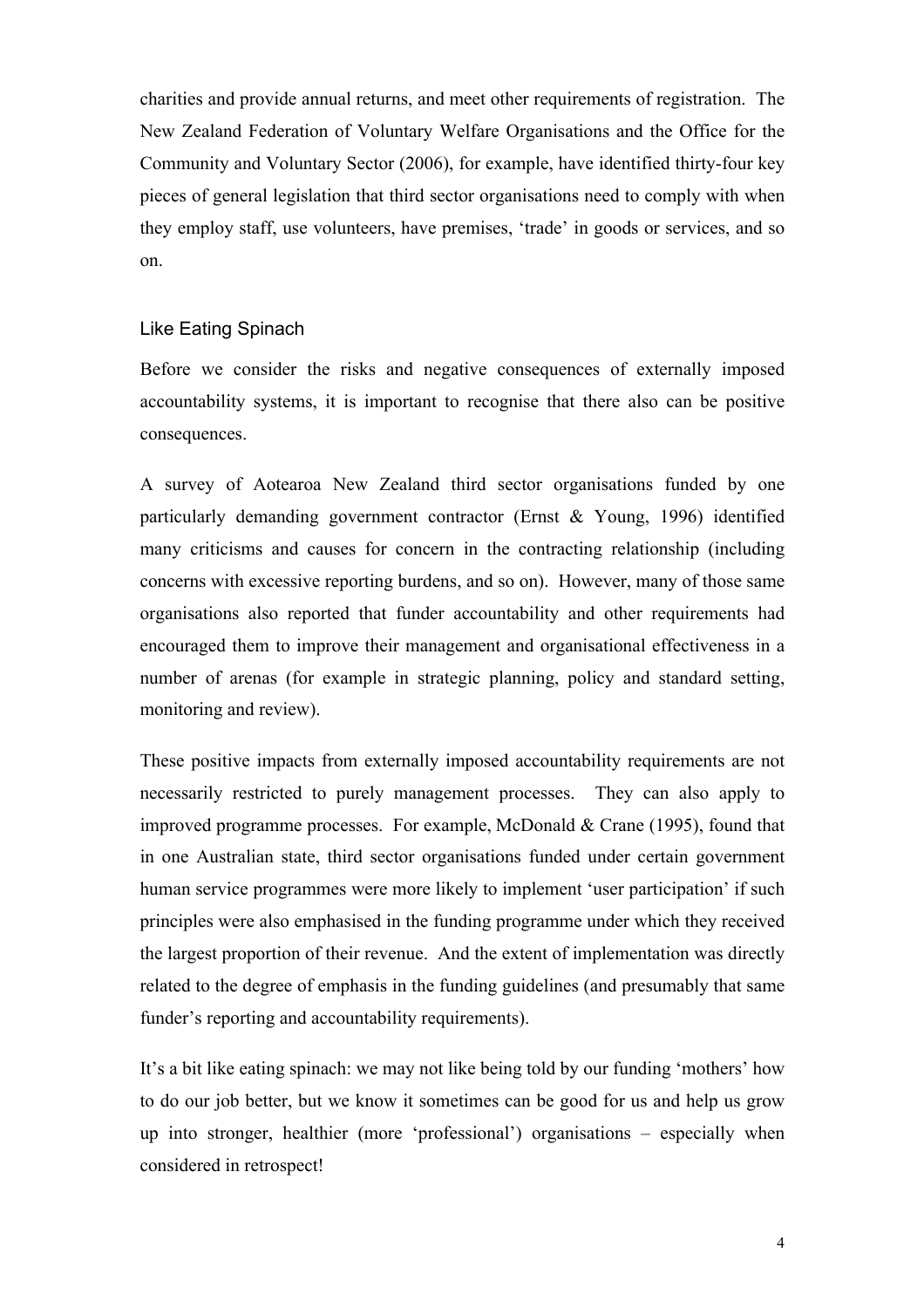charities and provide annual returns, and meet other requirements of registration. The New Zealand Federation of Voluntary Welfare Organisations and the Office for the Community and Voluntary Sector (2006), for example, have identified thirty-four key pieces of general legislation that third sector organisations need to comply with when they employ staff, use volunteers, have premises, 'trade' in goods or services, and so on.

#### Like Eating Spinach

Before we consider the risks and negative consequences of externally imposed accountability systems, it is important to recognise that there also can be positive consequences.

A survey of Aotearoa New Zealand third sector organisations funded by one particularly demanding government contractor (Ernst & Young, 1996) identified many criticisms and causes for concern in the contracting relationship (including concerns with excessive reporting burdens, and so on). However, many of those same organisations also reported that funder accountability and other requirements had encouraged them to improve their management and organisational effectiveness in a number of arenas (for example in strategic planning, policy and standard setting, monitoring and review).

These positive impacts from externally imposed accountability requirements are not necessarily restricted to purely management processes. They can also apply to improved programme processes. For example, McDonald & Crane (1995), found that in one Australian state, third sector organisations funded under certain government human service programmes were more likely to implement 'user participation' if such principles were also emphasised in the funding programme under which they received the largest proportion of their revenue. And the extent of implementation was directly related to the degree of emphasis in the funding guidelines (and presumably that same funder's reporting and accountability requirements).

It's a bit like eating spinach: we may not like being told by our funding 'mothers' how to do our job better, but we know it sometimes can be good for us and help us grow up into stronger, healthier (more 'professional') organisations – especially when considered in retrospect!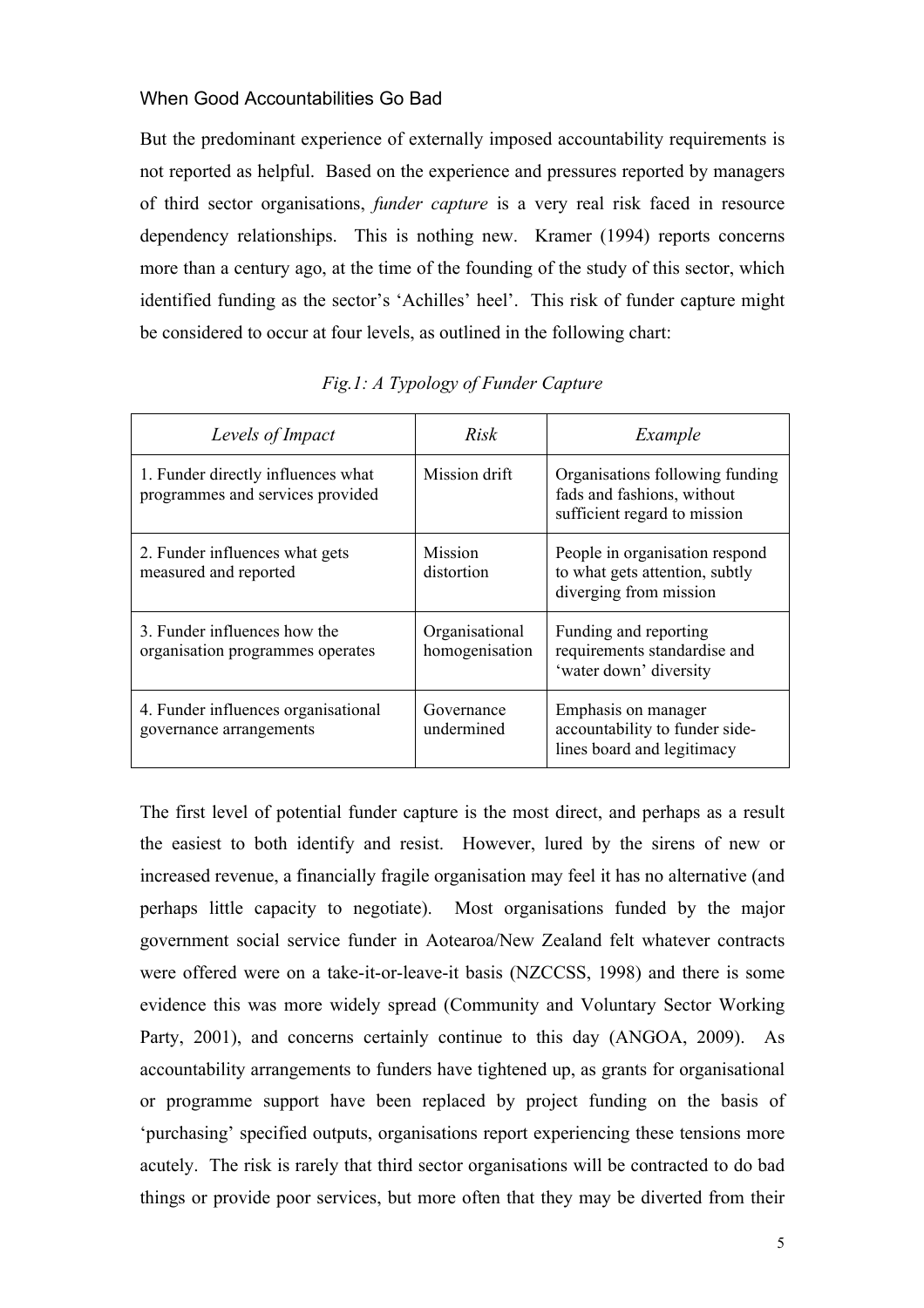#### When Good Accountabilities Go Bad

But the predominant experience of externally imposed accountability requirements is not reported as helpful. Based on the experience and pressures reported by managers of third sector organisations, *funder capture* is a very real risk faced in resource dependency relationships. This is nothing new. Kramer (1994) reports concerns more than a century ago, at the time of the founding of the study of this sector, which identified funding as the sector's 'Achilles' heel'. This risk of funder capture might be considered to occur at four levels, as outlined in the following chart:

| Levels of Impact                                                       | Risk                             | Example                                                                                       |
|------------------------------------------------------------------------|----------------------------------|-----------------------------------------------------------------------------------------------|
| 1. Funder directly influences what<br>programmes and services provided | Mission drift                    | Organisations following funding<br>fads and fashions, without<br>sufficient regard to mission |
| 2. Funder influences what gets<br>measured and reported                | <b>Mission</b><br>distortion     | People in organisation respond<br>to what gets attention, subtly<br>diverging from mission    |
| 3. Funder influences how the<br>organisation programmes operates       | Organisational<br>homogenisation | Funding and reporting<br>requirements standardise and<br>'water down' diversity               |
| 4. Funder influences organisational<br>governance arrangements         | Governance<br>undermined         | Emphasis on manager<br>accountability to funder side-<br>lines board and legitimacy           |

*Fig.1: A Typology of Funder Capture*

The first level of potential funder capture is the most direct, and perhaps as a result the easiest to both identify and resist. However, lured by the sirens of new or increased revenue, a financially fragile organisation may feel it has no alternative (and perhaps little capacity to negotiate). Most organisations funded by the major government social service funder in Aotearoa/New Zealand felt whatever contracts were offered were on a take-it-or-leave-it basis (NZCCSS, 1998) and there is some evidence this was more widely spread (Community and Voluntary Sector Working Party, 2001), and concerns certainly continue to this day (ANGOA, 2009). As accountability arrangements to funders have tightened up, as grants for organisational or programme support have been replaced by project funding on the basis of 'purchasing' specified outputs, organisations report experiencing these tensions more acutely. The risk is rarely that third sector organisations will be contracted to do bad things or provide poor services, but more often that they may be diverted from their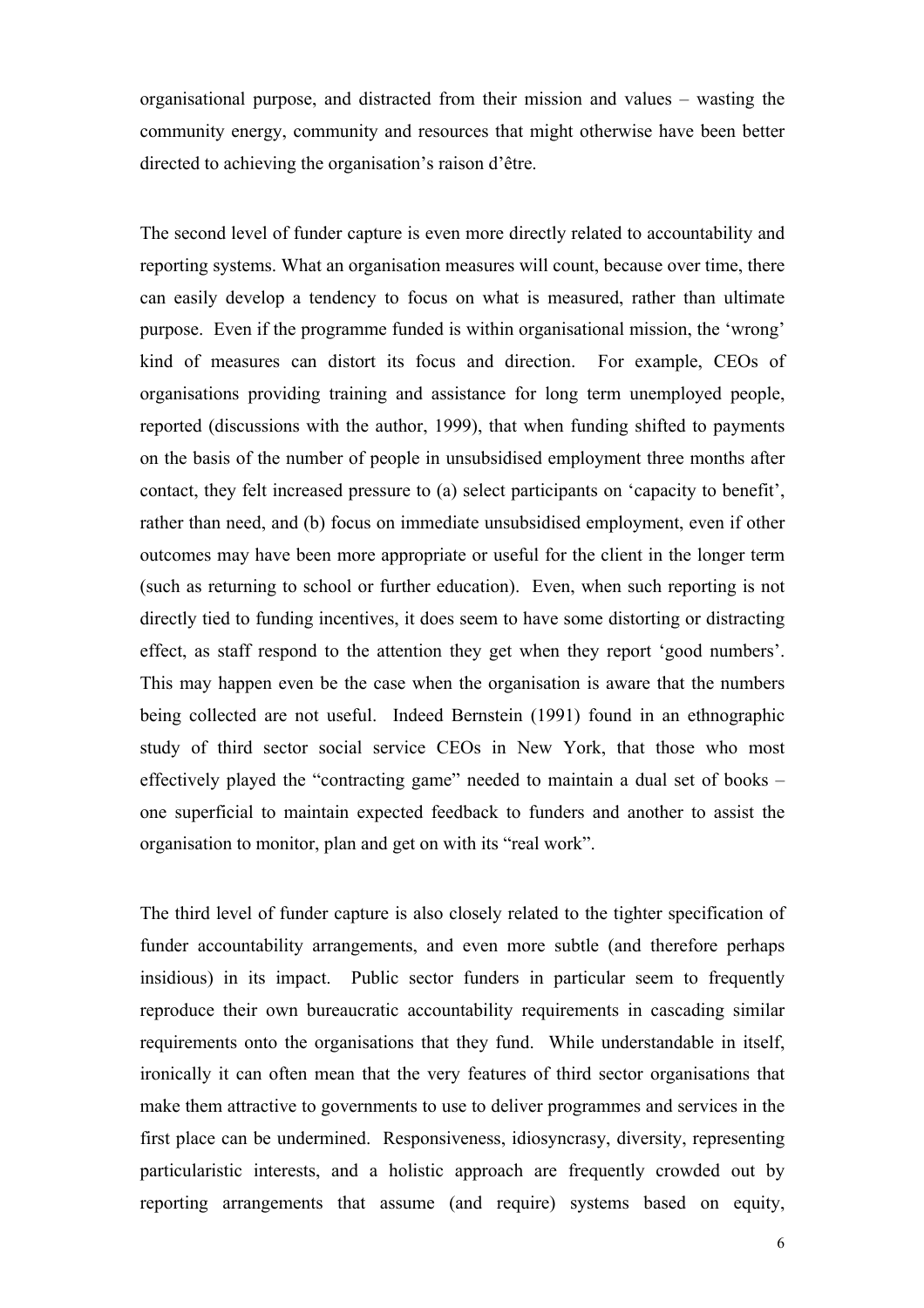organisational purpose, and distracted from their mission and values – wasting the community energy, community and resources that might otherwise have been better directed to achieving the organisation's raison d'être.

The second level of funder capture is even more directly related to accountability and reporting systems. What an organisation measures will count, because over time, there can easily develop a tendency to focus on what is measured, rather than ultimate purpose. Even if the programme funded is within organisational mission, the 'wrong' kind of measures can distort its focus and direction. For example, CEOs of organisations providing training and assistance for long term unemployed people, reported (discussions with the author, 1999), that when funding shifted to payments on the basis of the number of people in unsubsidised employment three months after contact, they felt increased pressure to (a) select participants on 'capacity to benefit', rather than need, and (b) focus on immediate unsubsidised employment, even if other outcomes may have been more appropriate or useful for the client in the longer term (such as returning to school or further education). Even, when such reporting is not directly tied to funding incentives, it does seem to have some distorting or distracting effect, as staff respond to the attention they get when they report 'good numbers'. This may happen even be the case when the organisation is aware that the numbers being collected are not useful. Indeed Bernstein (1991) found in an ethnographic study of third sector social service CEOs in New York, that those who most effectively played the "contracting game" needed to maintain a dual set of books – one superficial to maintain expected feedback to funders and another to assist the organisation to monitor, plan and get on with its "real work".

The third level of funder capture is also closely related to the tighter specification of funder accountability arrangements, and even more subtle (and therefore perhaps insidious) in its impact. Public sector funders in particular seem to frequently reproduce their own bureaucratic accountability requirements in cascading similar requirements onto the organisations that they fund. While understandable in itself, ironically it can often mean that the very features of third sector organisations that make them attractive to governments to use to deliver programmes and services in the first place can be undermined. Responsiveness, idiosyncrasy, diversity, representing particularistic interests, and a holistic approach are frequently crowded out by reporting arrangements that assume (and require) systems based on equity,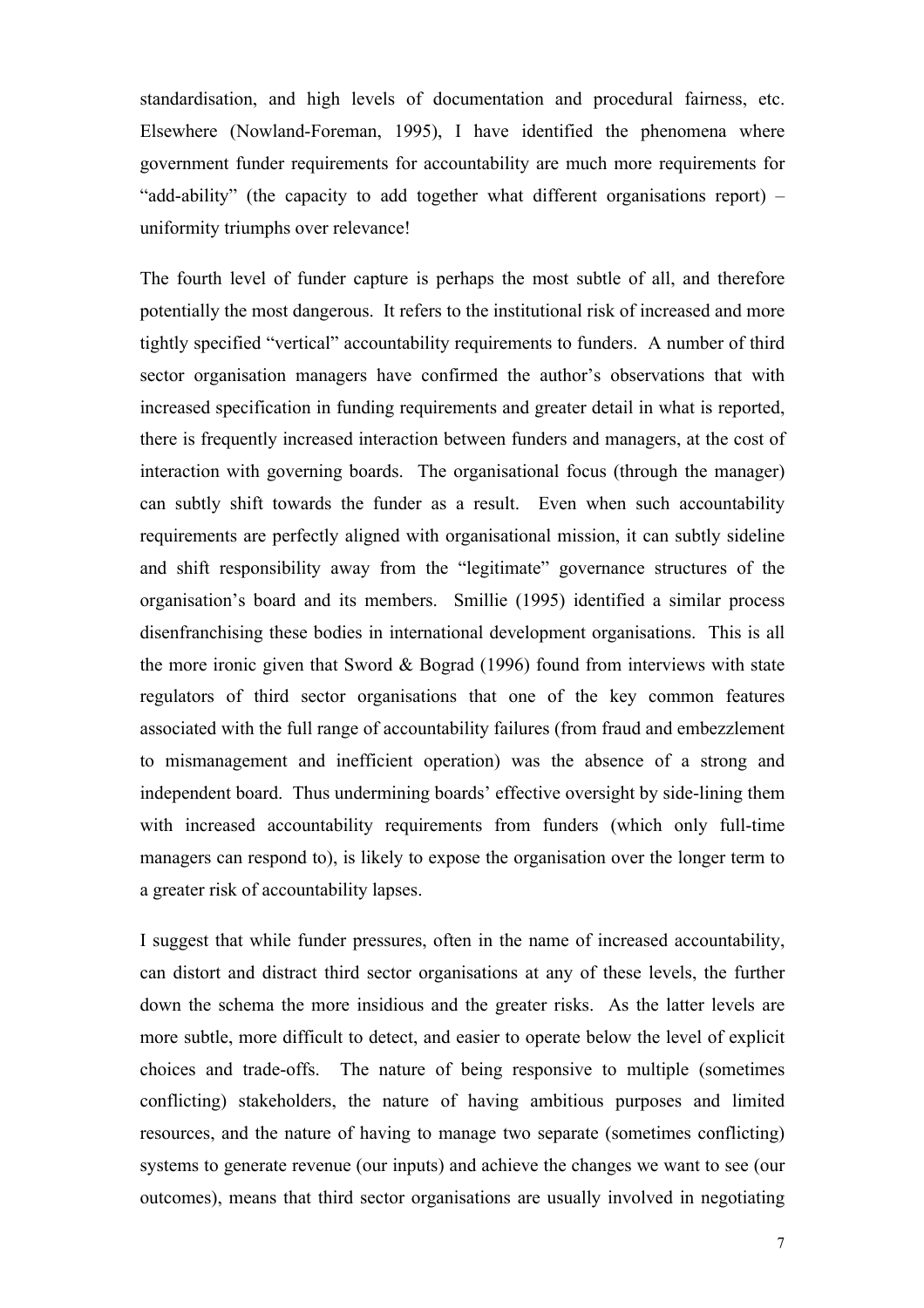standardisation, and high levels of documentation and procedural fairness, etc. Elsewhere (Nowland-Foreman, 1995), I have identified the phenomena where government funder requirements for accountability are much more requirements for "add-ability" (the capacity to add together what different organisations report) – uniformity triumphs over relevance!

The fourth level of funder capture is perhaps the most subtle of all, and therefore potentially the most dangerous. It refers to the institutional risk of increased and more tightly specified "vertical" accountability requirements to funders. A number of third sector organisation managers have confirmed the author's observations that with increased specification in funding requirements and greater detail in what is reported, there is frequently increased interaction between funders and managers, at the cost of interaction with governing boards. The organisational focus (through the manager) can subtly shift towards the funder as a result. Even when such accountability requirements are perfectly aligned with organisational mission, it can subtly sideline and shift responsibility away from the "legitimate" governance structures of the organisation's board and its members. Smillie (1995) identified a similar process disenfranchising these bodies in international development organisations. This is all the more ironic given that Sword  $& Bograd (1996)$  found from interviews with state regulators of third sector organisations that one of the key common features associated with the full range of accountability failures (from fraud and embezzlement to mismanagement and inefficient operation) was the absence of a strong and independent board. Thus undermining boards' effective oversight by side-lining them with increased accountability requirements from funders (which only full-time managers can respond to), is likely to expose the organisation over the longer term to a greater risk of accountability lapses.

I suggest that while funder pressures, often in the name of increased accountability, can distort and distract third sector organisations at any of these levels, the further down the schema the more insidious and the greater risks. As the latter levels are more subtle, more difficult to detect, and easier to operate below the level of explicit choices and trade-offs. The nature of being responsive to multiple (sometimes conflicting) stakeholders, the nature of having ambitious purposes and limited resources, and the nature of having to manage two separate (sometimes conflicting) systems to generate revenue (our inputs) and achieve the changes we want to see (our outcomes), means that third sector organisations are usually involved in negotiating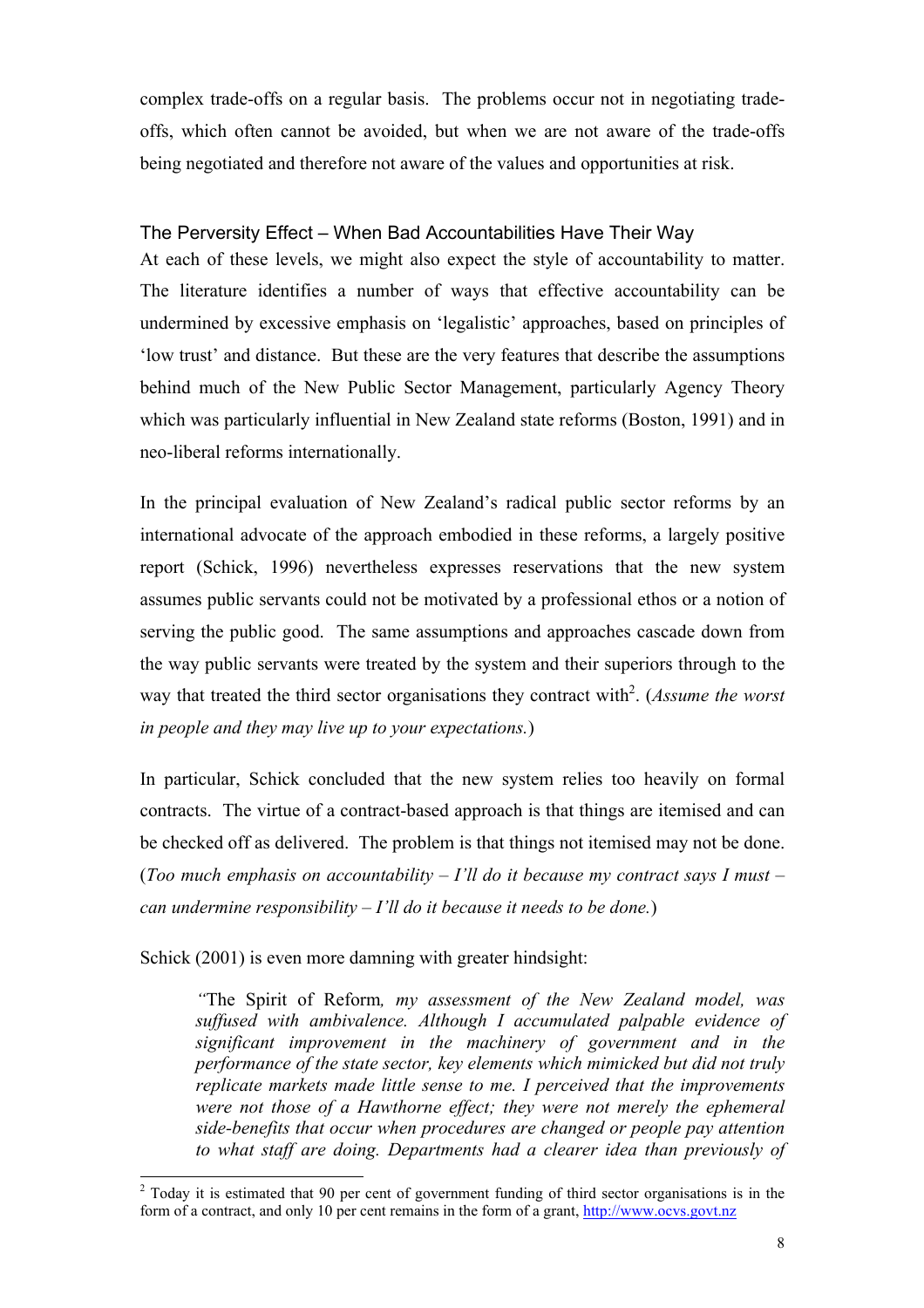complex trade-offs on a regular basis. The problems occur not in negotiating tradeoffs, which often cannot be avoided, but when we are not aware of the trade-offs being negotiated and therefore not aware of the values and opportunities at risk.

## The Perversity Effect – When Bad Accountabilities Have Their Way

At each of these levels, we might also expect the style of accountability to matter. The literature identifies a number of ways that effective accountability can be undermined by excessive emphasis on 'legalistic' approaches, based on principles of 'low trust' and distance. But these are the very features that describe the assumptions behind much of the New Public Sector Management, particularly Agency Theory which was particularly influential in New Zealand state reforms (Boston, 1991) and in neo-liberal reforms internationally.

In the principal evaluation of New Zealand's radical public sector reforms by an international advocate of the approach embodied in these reforms, a largely positive report (Schick, 1996) nevertheless expresses reservations that the new system assumes public servants could not be motivated by a professional ethos or a notion of serving the public good. The same assumptions and approaches cascade down from the way public servants were treated by the system and their superiors through to the way that treated the third sector organisations they contract with<sup>2</sup>. (*Assume the worst in people and they may live up to your expectations.*)

In particular, Schick concluded that the new system relies too heavily on formal contracts. The virtue of a contract-based approach is that things are itemised and can be checked off as delivered. The problem is that things not itemised may not be done. (*Too much emphasis on accountability – I'll do it because my contract says I must – can undermine responsibility – I'll do it because it needs to be done.*)

Schick (2001) is even more damning with greater hindsight:

*"*The Spirit of Reform*, my assessment of the New Zealand model, was suffused with ambivalence. Although I accumulated palpable evidence of significant improvement in the machinery of government and in the performance of the state sector, key elements which mimicked but did not truly replicate markets made little sense to me. I perceived that the improvements were not those of a Hawthorne effect; they were not merely the ephemeral side-benefits that occur when procedures are changed or people pay attention to what staff are doing. Departments had a clearer idea than previously of* 

<sup>&</sup>lt;sup>2</sup> Today it is estimated that 90 per cent of government funding of third sector organisations is in the form of a contract, and only 10 per cent remains in the form of a grant, http://www.ocvs.govt.nz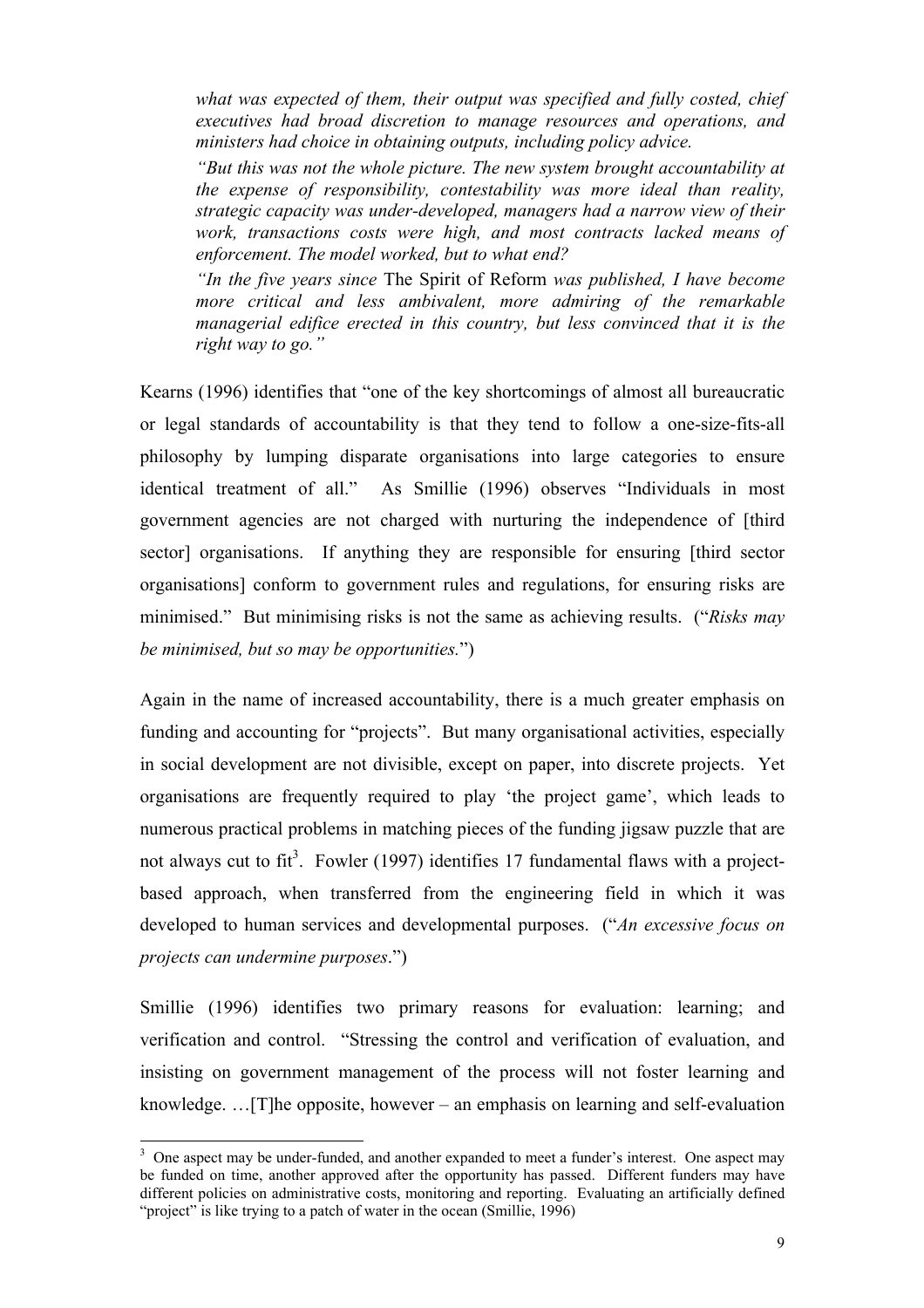*what was expected of them, their output was specified and fully costed, chief executives had broad discretion to manage resources and operations, and ministers had choice in obtaining outputs, including policy advice.*

*"But this was not the whole picture. The new system brought accountability at the expense of responsibility, contestability was more ideal than reality, strategic capacity was under-developed, managers had a narrow view of their work, transactions costs were high, and most contracts lacked means of enforcement. The model worked, but to what end?*

*"In the five years since* The Spirit of Reform *was published, I have become more critical and less ambivalent, more admiring of the remarkable managerial edifice erected in this country, but less convinced that it is the right way to go."*

Kearns (1996) identifies that "one of the key shortcomings of almost all bureaucratic or legal standards of accountability is that they tend to follow a one-size-fits-all philosophy by lumping disparate organisations into large categories to ensure identical treatment of all." As Smillie (1996) observes "Individuals in most government agencies are not charged with nurturing the independence of [third sector] organisations. If anything they are responsible for ensuring [third sector organisations] conform to government rules and regulations, for ensuring risks are minimised." But minimising risks is not the same as achieving results. ("*Risks may be minimised, but so may be opportunities.*")

Again in the name of increased accountability, there is a much greater emphasis on funding and accounting for "projects". But many organisational activities, especially in social development are not divisible, except on paper, into discrete projects. Yet organisations are frequently required to play 'the project game', which leads to numerous practical problems in matching pieces of the funding jigsaw puzzle that are not always cut to fit<sup>3</sup>. Fowler (1997) identifies 17 fundamental flaws with a projectbased approach, when transferred from the engineering field in which it was developed to human services and developmental purposes. ("*An excessive focus on projects can undermine purposes*.")

Smillie (1996) identifies two primary reasons for evaluation: learning; and verification and control. "Stressing the control and verification of evaluation, and insisting on government management of the process will not foster learning and knowledge. …[T]he opposite, however – an emphasis on learning and self-evaluation

 <sup>3</sup> <sup>3</sup> One aspect may be under-funded, and another expanded to meet a funder's interest. One aspect may be funded on time, another approved after the opportunity has passed. Different funders may have different policies on administrative costs, monitoring and reporting. Evaluating an artificially defined "project" is like trying to a patch of water in the ocean (Smillie, 1996)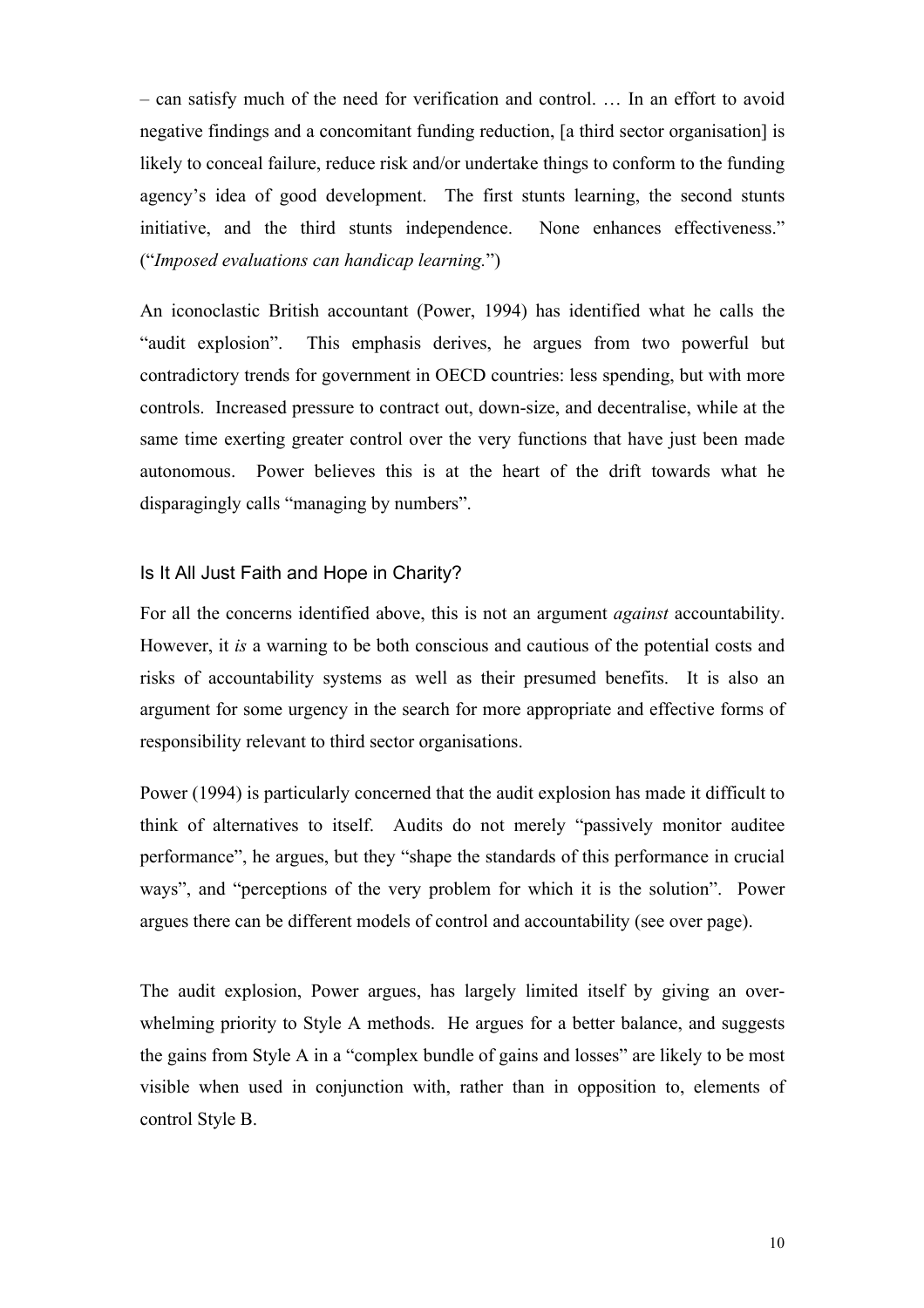– can satisfy much of the need for verification and control. … In an effort to avoid negative findings and a concomitant funding reduction, [a third sector organisation] is likely to conceal failure, reduce risk and/or undertake things to conform to the funding agency's idea of good development. The first stunts learning, the second stunts initiative, and the third stunts independence. None enhances effectiveness." ("*Imposed evaluations can handicap learning.*")

An iconoclastic British accountant (Power, 1994) has identified what he calls the "audit explosion". This emphasis derives, he argues from two powerful but contradictory trends for government in OECD countries: less spending, but with more controls. Increased pressure to contract out, down-size, and decentralise, while at the same time exerting greater control over the very functions that have just been made autonomous. Power believes this is at the heart of the drift towards what he disparagingly calls "managing by numbers".

## Is It All Just Faith and Hope in Charity?

For all the concerns identified above, this is not an argument *against* accountability. However, it *is* a warning to be both conscious and cautious of the potential costs and risks of accountability systems as well as their presumed benefits. It is also an argument for some urgency in the search for more appropriate and effective forms of responsibility relevant to third sector organisations.

Power (1994) is particularly concerned that the audit explosion has made it difficult to think of alternatives to itself. Audits do not merely "passively monitor auditee performance", he argues, but they "shape the standards of this performance in crucial ways", and "perceptions of the very problem for which it is the solution". Power argues there can be different models of control and accountability (see over page).

The audit explosion, Power argues, has largely limited itself by giving an overwhelming priority to Style A methods. He argues for a better balance, and suggests the gains from Style A in a "complex bundle of gains and losses" are likely to be most visible when used in conjunction with, rather than in opposition to, elements of control Style B.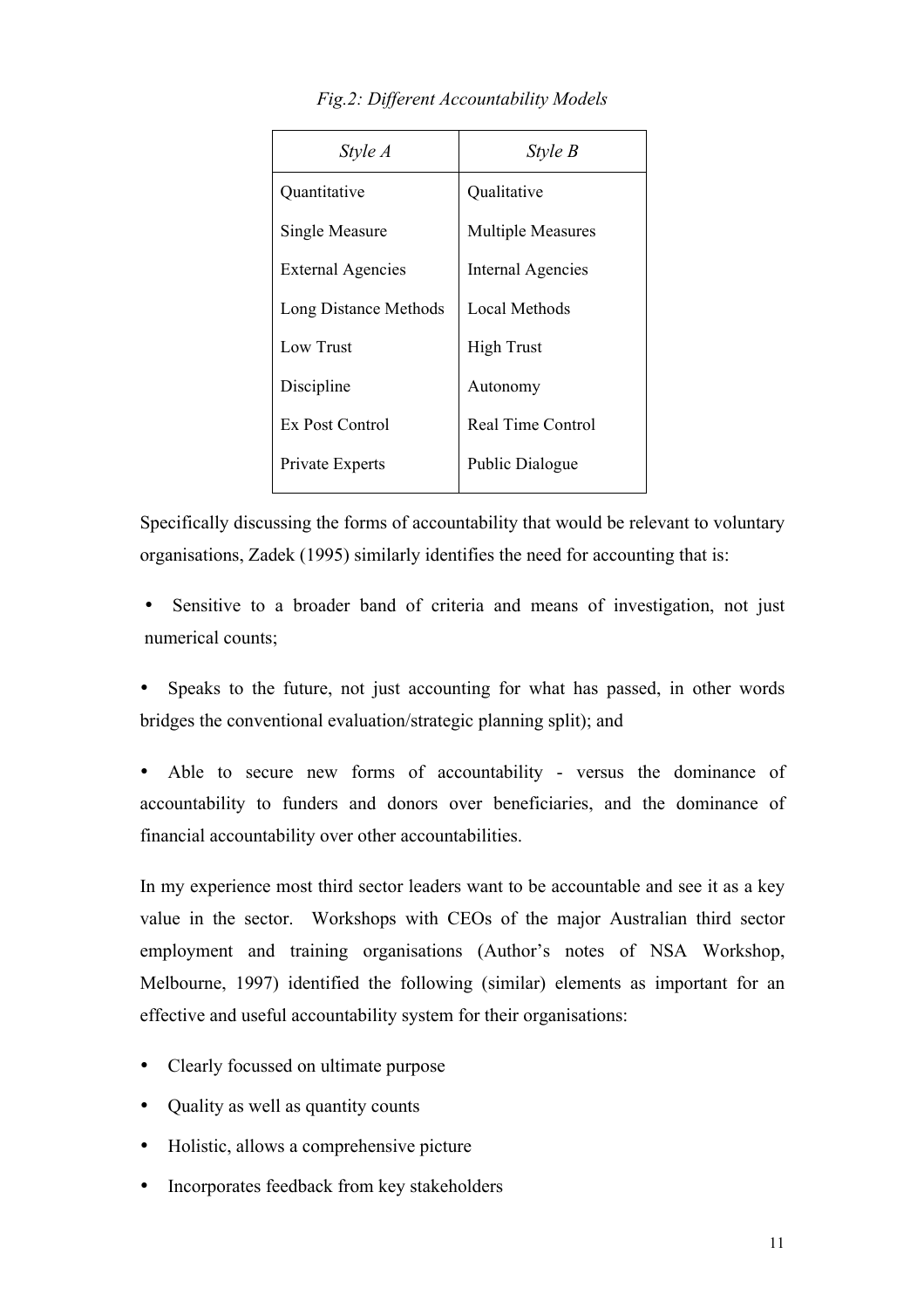| <i>Style A</i>           | Style B                  |
|--------------------------|--------------------------|
| Quantitative             | Qualitative              |
| Single Measure           | <b>Multiple Measures</b> |
| <b>External Agencies</b> | <b>Internal Agencies</b> |
| Long Distance Methods    | Local Methods            |
| Low Trust                | <b>High Trust</b>        |
| Discipline               | Autonomy                 |
| Ex Post Control          | <b>Real Time Control</b> |
| Private Experts          | Public Dialogue          |

*Fig.2: Different Accountability Models*

Specifically discussing the forms of accountability that would be relevant to voluntary organisations, Zadek (1995) similarly identifies the need for accounting that is:

• Sensitive to a broader band of criteria and means of investigation, not just numerical counts;

Speaks to the future, not just accounting for what has passed, in other words bridges the conventional evaluation/strategic planning split); and

• Able to secure new forms of accountability - versus the dominance of accountability to funders and donors over beneficiaries, and the dominance of financial accountability over other accountabilities.

In my experience most third sector leaders want to be accountable and see it as a key value in the sector. Workshops with CEOs of the major Australian third sector employment and training organisations (Author's notes of NSA Workshop, Melbourne, 1997) identified the following (similar) elements as important for an effective and useful accountability system for their organisations:

- Clearly focussed on ultimate purpose
- Quality as well as quantity counts
- Holistic, allows a comprehensive picture
- Incorporates feedback from key stakeholders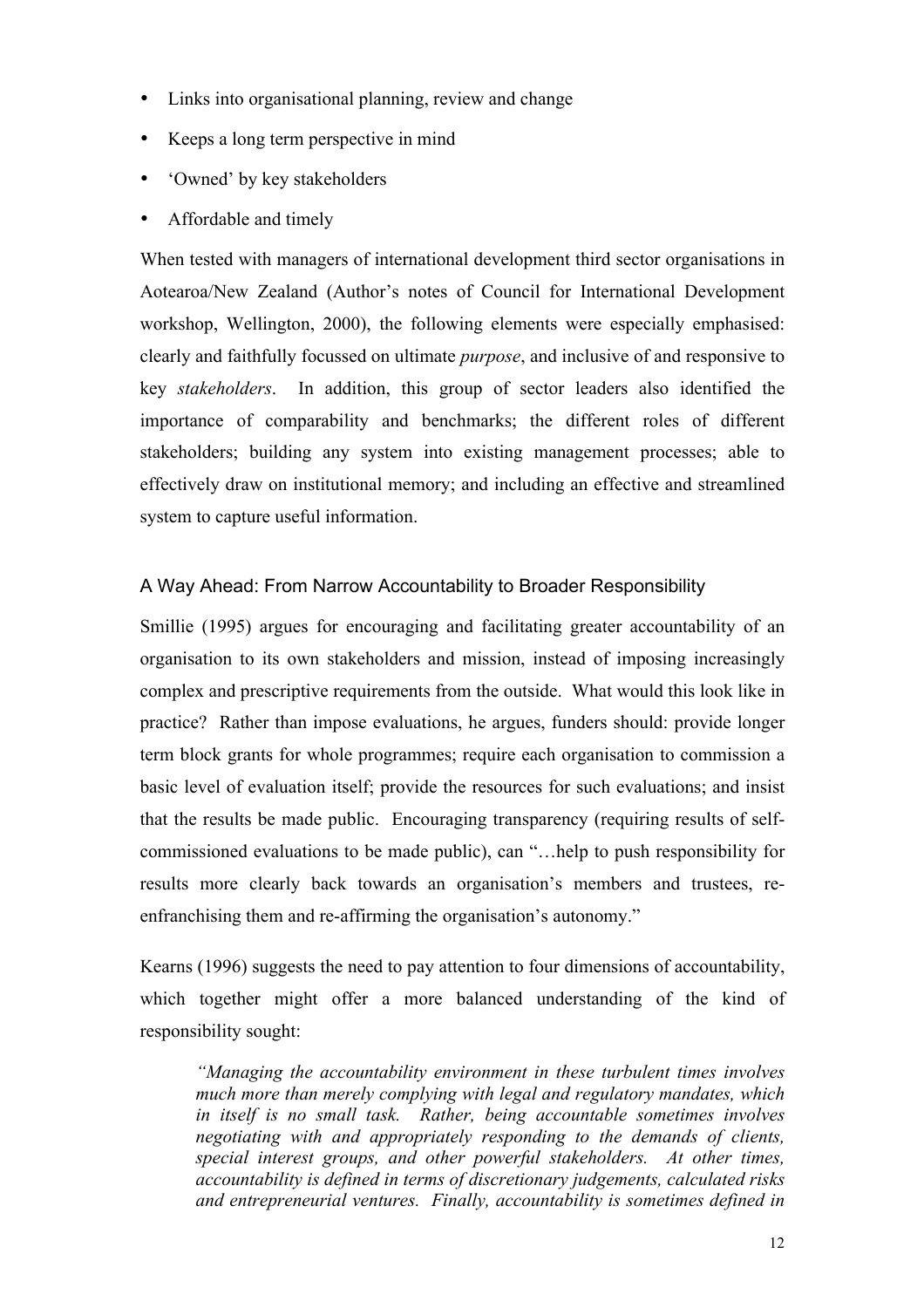- Links into organisational planning, review and change
- Keeps a long term perspective in mind
- 'Owned' by key stakeholders
- Affordable and timely

When tested with managers of international development third sector organisations in Aotearoa/New Zealand (Author's notes of Council for International Development workshop, Wellington, 2000), the following elements were especially emphasised: clearly and faithfully focussed on ultimate *purpose*, and inclusive of and responsive to key *stakeholders*. In addition, this group of sector leaders also identified the importance of comparability and benchmarks; the different roles of different stakeholders; building any system into existing management processes; able to effectively draw on institutional memory; and including an effective and streamlined system to capture useful information.

# A Way Ahead: From Narrow Accountability to Broader Responsibility

Smillie (1995) argues for encouraging and facilitating greater accountability of an organisation to its own stakeholders and mission, instead of imposing increasingly complex and prescriptive requirements from the outside. What would this look like in practice? Rather than impose evaluations, he argues, funders should: provide longer term block grants for whole programmes; require each organisation to commission a basic level of evaluation itself; provide the resources for such evaluations; and insist that the results be made public. Encouraging transparency (requiring results of selfcommissioned evaluations to be made public), can "…help to push responsibility for results more clearly back towards an organisation's members and trustees, reenfranchising them and re-affirming the organisation's autonomy."

Kearns (1996) suggests the need to pay attention to four dimensions of accountability, which together might offer a more balanced understanding of the kind of responsibility sought:

*"Managing the accountability environment in these turbulent times involves much more than merely complying with legal and regulatory mandates, which in itself is no small task. Rather, being accountable sometimes involves negotiating with and appropriately responding to the demands of clients, special interest groups, and other powerful stakeholders. At other times, accountability is defined in terms of discretionary judgements, calculated risks and entrepreneurial ventures. Finally, accountability is sometimes defined in*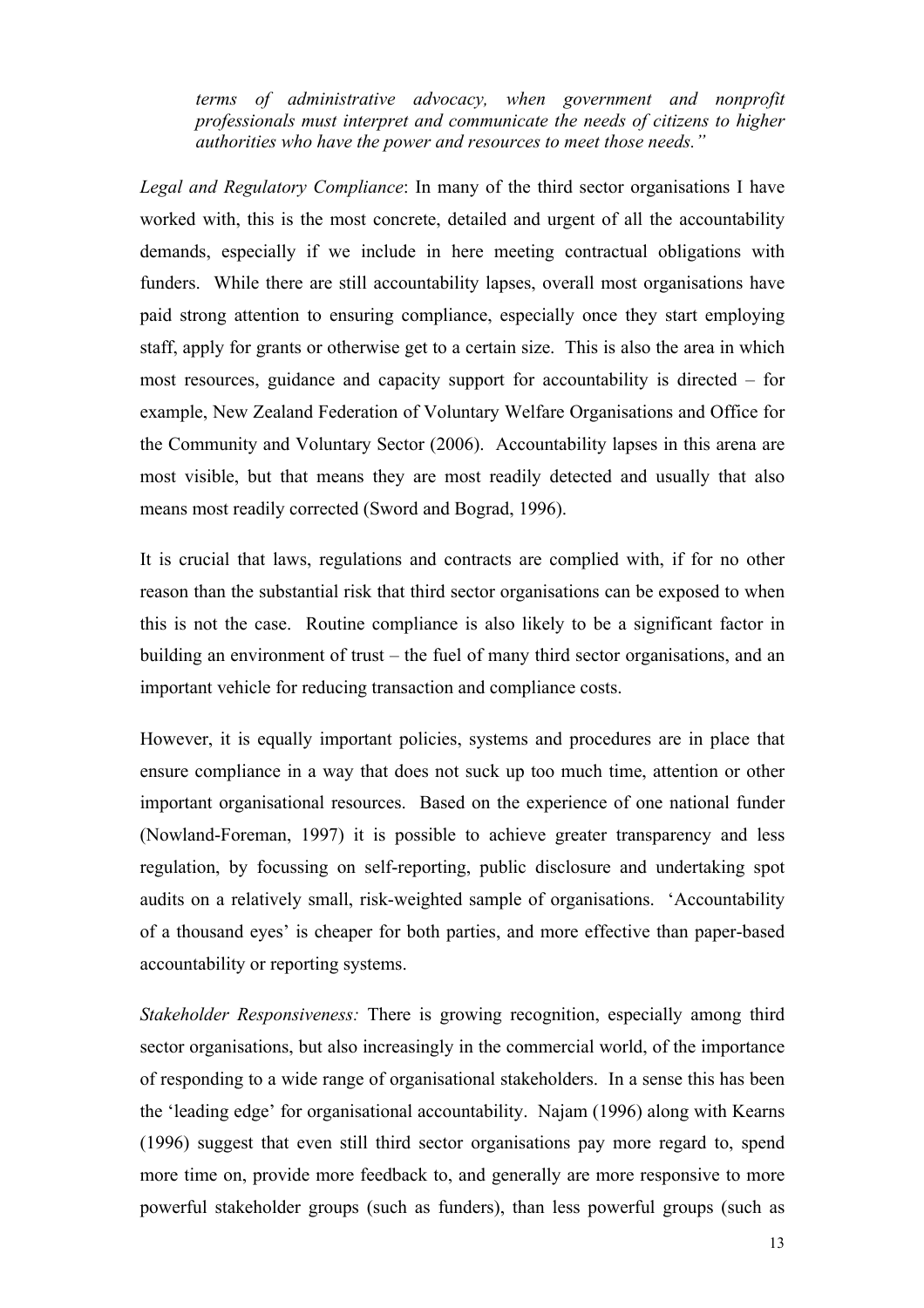*terms of administrative advocacy, when government and nonprofit professionals must interpret and communicate the needs of citizens to higher authorities who have the power and resources to meet those needs."* 

*Legal and Regulatory Compliance*: In many of the third sector organisations I have worked with, this is the most concrete, detailed and urgent of all the accountability demands, especially if we include in here meeting contractual obligations with funders. While there are still accountability lapses, overall most organisations have paid strong attention to ensuring compliance, especially once they start employing staff, apply for grants or otherwise get to a certain size. This is also the area in which most resources, guidance and capacity support for accountability is directed – for example, New Zealand Federation of Voluntary Welfare Organisations and Office for the Community and Voluntary Sector (2006). Accountability lapses in this arena are most visible, but that means they are most readily detected and usually that also means most readily corrected (Sword and Bograd, 1996).

It is crucial that laws, regulations and contracts are complied with, if for no other reason than the substantial risk that third sector organisations can be exposed to when this is not the case. Routine compliance is also likely to be a significant factor in building an environment of trust – the fuel of many third sector organisations, and an important vehicle for reducing transaction and compliance costs.

However, it is equally important policies, systems and procedures are in place that ensure compliance in a way that does not suck up too much time, attention or other important organisational resources. Based on the experience of one national funder (Nowland-Foreman, 1997) it is possible to achieve greater transparency and less regulation, by focussing on self-reporting, public disclosure and undertaking spot audits on a relatively small, risk-weighted sample of organisations. 'Accountability of a thousand eyes' is cheaper for both parties, and more effective than paper-based accountability or reporting systems.

*Stakeholder Responsiveness:* There is growing recognition, especially among third sector organisations, but also increasingly in the commercial world, of the importance of responding to a wide range of organisational stakeholders. In a sense this has been the 'leading edge' for organisational accountability. Najam (1996) along with Kearns (1996) suggest that even still third sector organisations pay more regard to, spend more time on, provide more feedback to, and generally are more responsive to more powerful stakeholder groups (such as funders), than less powerful groups (such as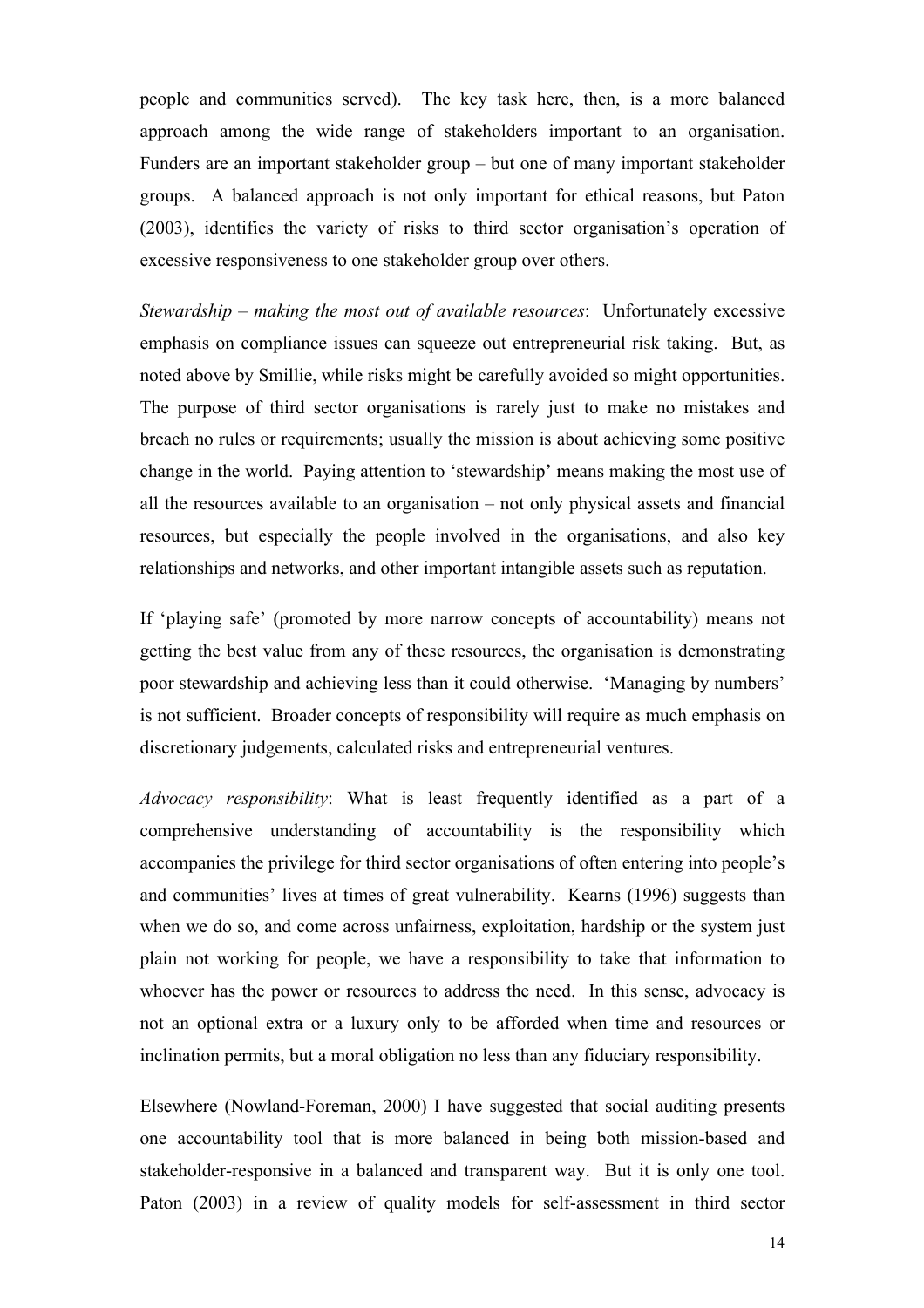people and communities served). The key task here, then, is a more balanced approach among the wide range of stakeholders important to an organisation. Funders are an important stakeholder group – but one of many important stakeholder groups. A balanced approach is not only important for ethical reasons, but Paton (2003), identifies the variety of risks to third sector organisation's operation of excessive responsiveness to one stakeholder group over others.

*Stewardship – making the most out of available resources*: Unfortunately excessive emphasis on compliance issues can squeeze out entrepreneurial risk taking. But, as noted above by Smillie, while risks might be carefully avoided so might opportunities. The purpose of third sector organisations is rarely just to make no mistakes and breach no rules or requirements; usually the mission is about achieving some positive change in the world. Paying attention to 'stewardship' means making the most use of all the resources available to an organisation – not only physical assets and financial resources, but especially the people involved in the organisations, and also key relationships and networks, and other important intangible assets such as reputation.

If 'playing safe' (promoted by more narrow concepts of accountability) means not getting the best value from any of these resources, the organisation is demonstrating poor stewardship and achieving less than it could otherwise. 'Managing by numbers' is not sufficient. Broader concepts of responsibility will require as much emphasis on discretionary judgements, calculated risks and entrepreneurial ventures.

*Advocacy responsibility*: What is least frequently identified as a part of a comprehensive understanding of accountability is the responsibility which accompanies the privilege for third sector organisations of often entering into people's and communities' lives at times of great vulnerability. Kearns (1996) suggests than when we do so, and come across unfairness, exploitation, hardship or the system just plain not working for people, we have a responsibility to take that information to whoever has the power or resources to address the need. In this sense, advocacy is not an optional extra or a luxury only to be afforded when time and resources or inclination permits, but a moral obligation no less than any fiduciary responsibility.

Elsewhere (Nowland-Foreman, 2000) I have suggested that social auditing presents one accountability tool that is more balanced in being both mission-based and stakeholder-responsive in a balanced and transparent way. But it is only one tool. Paton (2003) in a review of quality models for self-assessment in third sector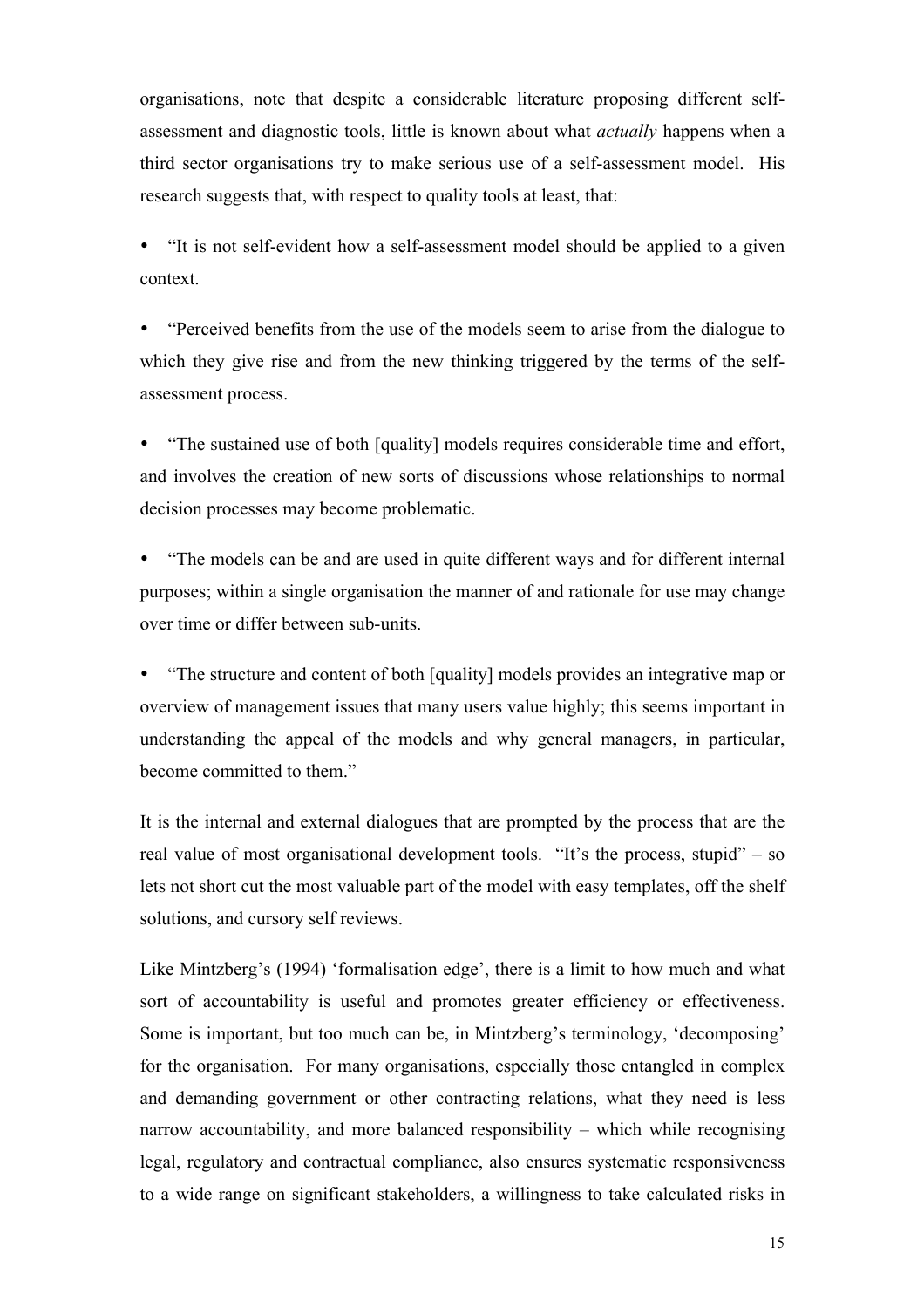organisations, note that despite a considerable literature proposing different selfassessment and diagnostic tools, little is known about what *actually* happens when a third sector organisations try to make serious use of a self-assessment model. His research suggests that, with respect to quality tools at least, that:

• "It is not self-evident how a self-assessment model should be applied to a given context.

• "Perceived benefits from the use of the models seem to arise from the dialogue to which they give rise and from the new thinking triggered by the terms of the selfassessment process.

• "The sustained use of both [quality] models requires considerable time and effort, and involves the creation of new sorts of discussions whose relationships to normal decision processes may become problematic.

• "The models can be and are used in quite different ways and for different internal purposes; within a single organisation the manner of and rationale for use may change over time or differ between sub-units.

• "The structure and content of both [quality] models provides an integrative map or overview of management issues that many users value highly; this seems important in understanding the appeal of the models and why general managers, in particular, become committed to them."

It is the internal and external dialogues that are prompted by the process that are the real value of most organisational development tools. "It's the process, stupid" – so lets not short cut the most valuable part of the model with easy templates, off the shelf solutions, and cursory self reviews.

Like Mintzberg's (1994) 'formalisation edge', there is a limit to how much and what sort of accountability is useful and promotes greater efficiency or effectiveness. Some is important, but too much can be, in Mintzberg's terminology, 'decomposing' for the organisation. For many organisations, especially those entangled in complex and demanding government or other contracting relations, what they need is less narrow accountability, and more balanced responsibility – which while recognising legal, regulatory and contractual compliance, also ensures systematic responsiveness to a wide range on significant stakeholders, a willingness to take calculated risks in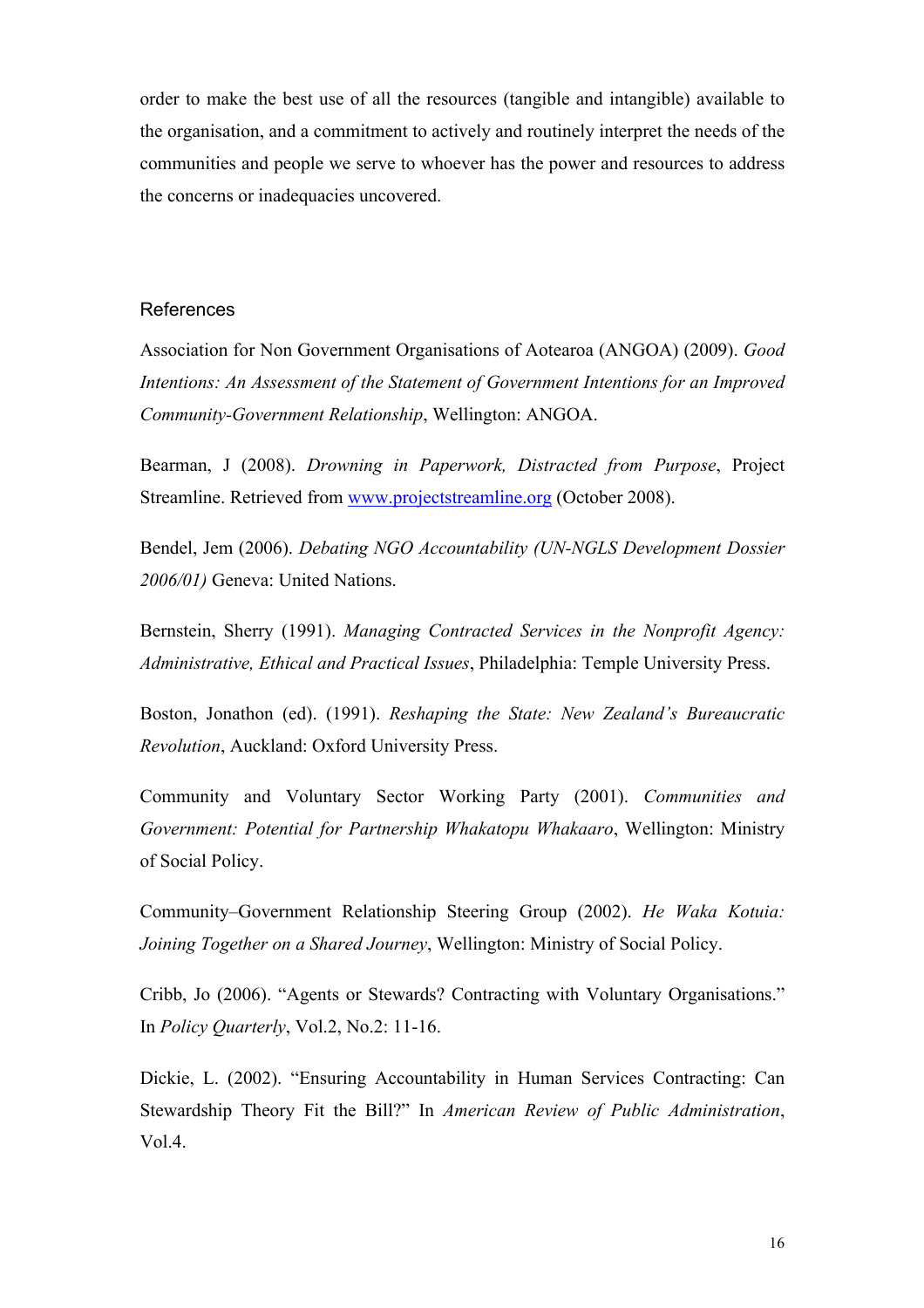order to make the best use of all the resources (tangible and intangible) available to the organisation, and a commitment to actively and routinely interpret the needs of the communities and people we serve to whoever has the power and resources to address the concerns or inadequacies uncovered.

#### References

Association for Non Government Organisations of Aotearoa (ANGOA) (2009). *Good Intentions: An Assessment of the Statement of Government Intentions for an Improved Community-Government Relationship*, Wellington: ANGOA.

Bearman, J (2008). *Drowning in Paperwork, Distracted from Purpose*, Project Streamline. Retrieved from www.projectstreamline.org (October 2008).

Bendel, Jem (2006). *Debating NGO Accountability (UN-NGLS Development Dossier 2006/01)* Geneva: United Nations.

Bernstein, Sherry (1991). *Managing Contracted Services in the Nonprofit Agency: Administrative, Ethical and Practical Issues*, Philadelphia: Temple University Press.

Boston, Jonathon (ed). (1991). *Reshaping the State: New Zealand's Bureaucratic Revolution*, Auckland: Oxford University Press.

Community and Voluntary Sector Working Party (2001). *Communities and Government: Potential for Partnership Whakatopu Whakaaro*, Wellington: Ministry of Social Policy.

Community–Government Relationship Steering Group (2002). *He Waka Kotuia: Joining Together on a Shared Journey*, Wellington: Ministry of Social Policy.

Cribb, Jo (2006). "Agents or Stewards? Contracting with Voluntary Organisations." In *Policy Quarterly*, Vol.2, No.2: 11-16.

Dickie, L. (2002). "Ensuring Accountability in Human Services Contracting: Can Stewardship Theory Fit the Bill?" In *American Review of Public Administration*, Vol.4.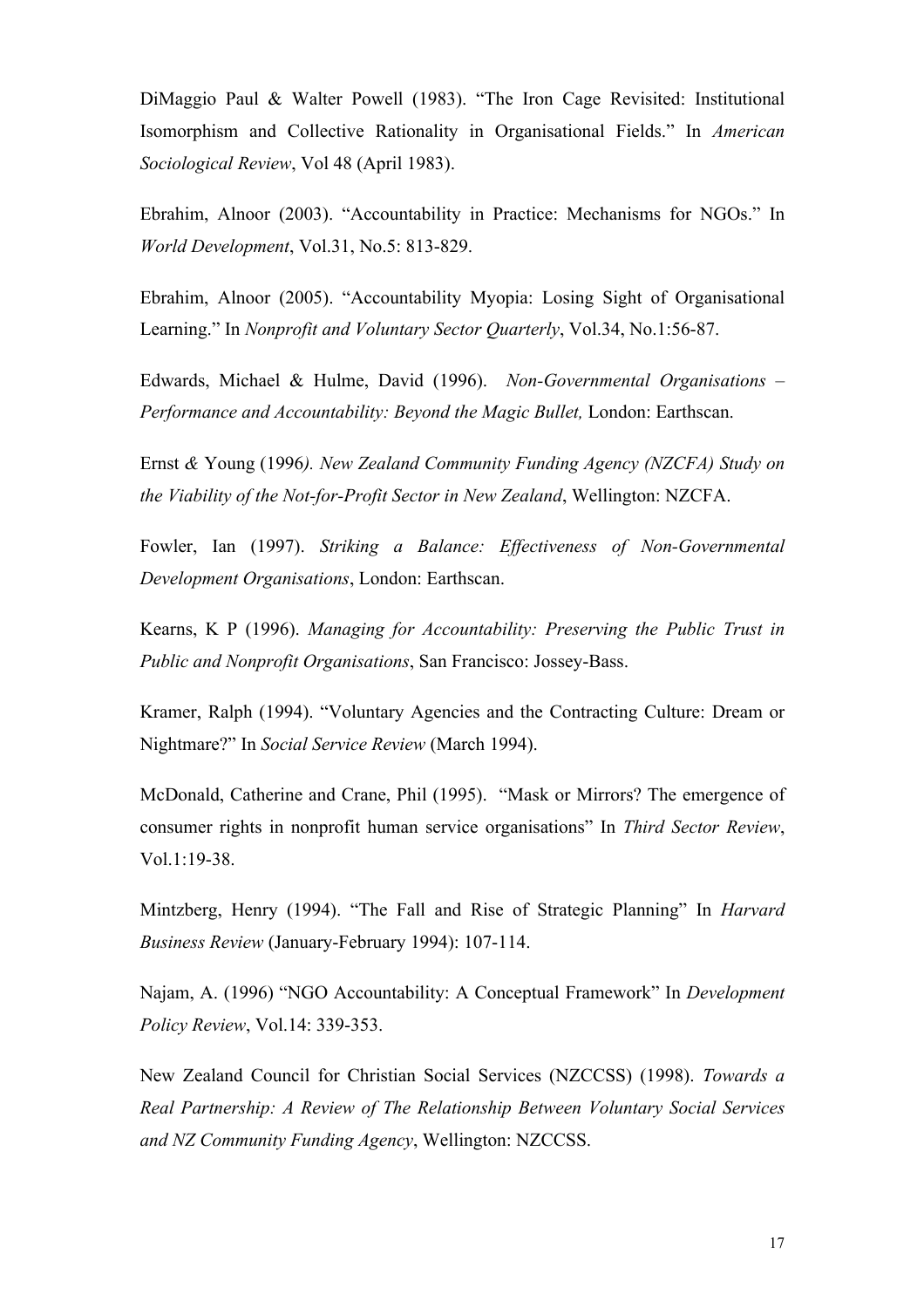DiMaggio Paul & Walter Powell (1983). "The Iron Cage Revisited: Institutional Isomorphism and Collective Rationality in Organisational Fields." In *American Sociological Review*, Vol 48 (April 1983).

Ebrahim, Alnoor (2003). "Accountability in Practice: Mechanisms for NGOs." In *World Development*, Vol.31, No.5: 813-829.

Ebrahim, Alnoor (2005). "Accountability Myopia: Losing Sight of Organisational Learning." In *Nonprofit and Voluntary Sector Quarterly*, Vol.34, No.1:56-87.

Edwards, Michael & Hulme, David (1996). *Non-Governmental Organisations – Performance and Accountability: Beyond the Magic Bullet,* London: Earthscan.

Ernst *&* Young (1996*). New Zealand Community Funding Agency (NZCFA) Study on the Viability of the Not-for-Profit Sector in New Zealand*, Wellington: NZCFA.

Fowler, Ian (1997). *Striking a Balance: Effectiveness of Non-Governmental Development Organisations*, London: Earthscan.

Kearns, K P (1996). *Managing for Accountability: Preserving the Public Trust in Public and Nonprofit Organisations*, San Francisco: Jossey-Bass.

Kramer, Ralph (1994). "Voluntary Agencies and the Contracting Culture: Dream or Nightmare?" In *Social Service Review* (March 1994).

McDonald, Catherine and Crane, Phil (1995). "Mask or Mirrors? The emergence of consumer rights in nonprofit human service organisations" In *Third Sector Review*, Vol.1:19-38.

Mintzberg, Henry (1994). "The Fall and Rise of Strategic Planning" In *Harvard Business Review* (January-February 1994): 107-114.

Najam, A. (1996) "NGO Accountability: A Conceptual Framework" In *Development Policy Review*, Vol.14: 339-353.

New Zealand Council for Christian Social Services (NZCCSS) (1998). *Towards a Real Partnership: A Review of The Relationship Between Voluntary Social Services and NZ Community Funding Agency*, Wellington: NZCCSS.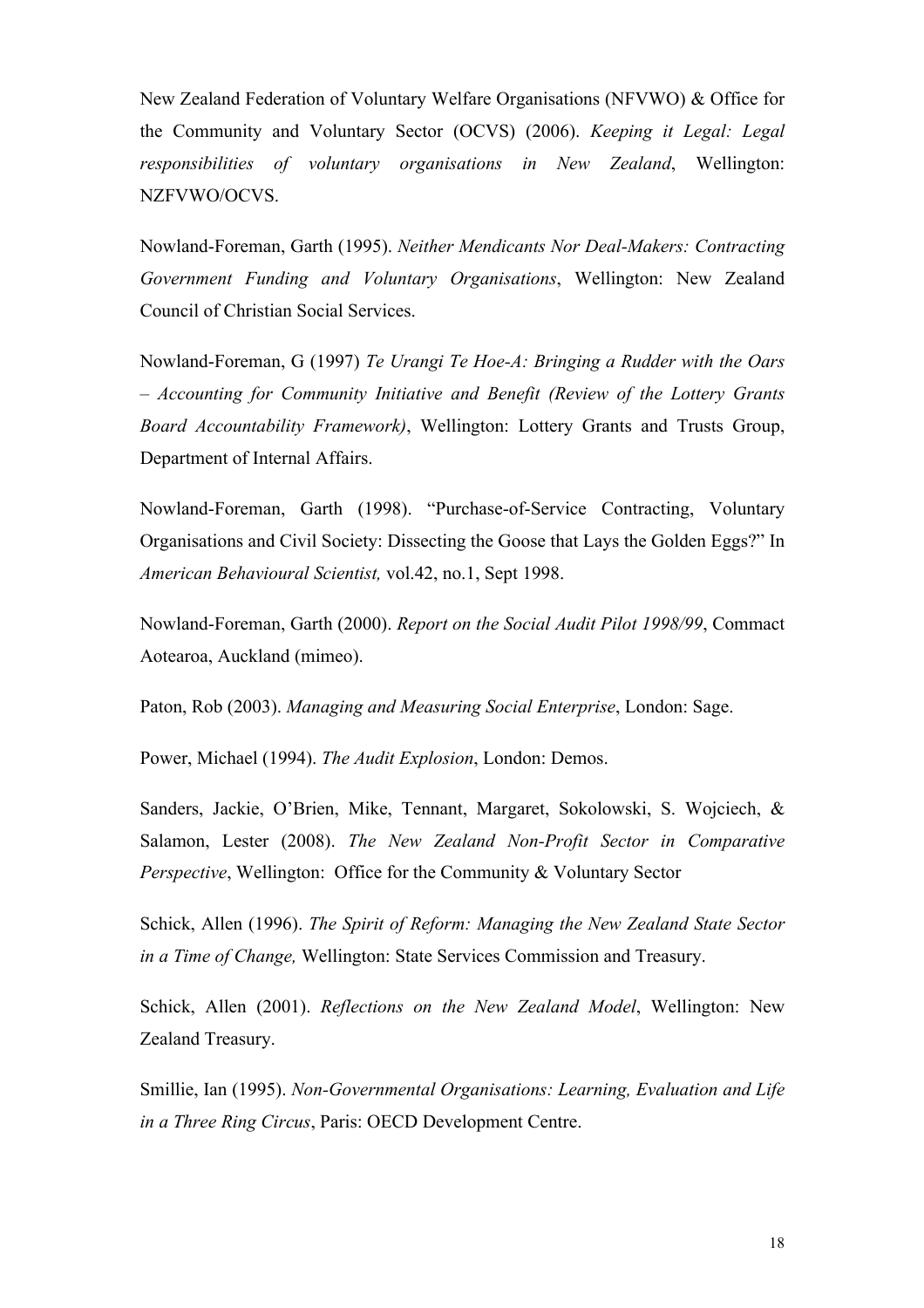New Zealand Federation of Voluntary Welfare Organisations (NFVWO) & Office for the Community and Voluntary Sector (OCVS) (2006). *Keeping it Legal: Legal responsibilities of voluntary organisations in New Zealand*, Wellington: NZFVWO/OCVS.

Nowland-Foreman, Garth (1995). *Neither Mendicants Nor Deal-Makers: Contracting Government Funding and Voluntary Organisations*, Wellington: New Zealand Council of Christian Social Services.

Nowland-Foreman, G (1997) *Te Urangi Te Hoe-A: Bringing a Rudder with the Oars – Accounting for Community Initiative and Benefit (Review of the Lottery Grants Board Accountability Framework)*, Wellington: Lottery Grants and Trusts Group, Department of Internal Affairs.

Nowland-Foreman, Garth (1998). "Purchase-of-Service Contracting, Voluntary Organisations and Civil Society: Dissecting the Goose that Lays the Golden Eggs?" In *American Behavioural Scientist,* vol.42, no.1, Sept 1998.

Nowland-Foreman, Garth (2000). *Report on the Social Audit Pilot 1998/99*, Commact Aotearoa, Auckland (mimeo).

Paton, Rob (2003). *Managing and Measuring Social Enterprise*, London: Sage.

Power, Michael (1994). *The Audit Explosion*, London: Demos.

Sanders, Jackie, O'Brien, Mike, Tennant, Margaret, Sokolowski, S. Wojciech, & Salamon, Lester (2008). *The New Zealand Non-Profit Sector in Comparative Perspective*, Wellington: Office for the Community & Voluntary Sector

Schick, Allen (1996). *The Spirit of Reform: Managing the New Zealand State Sector in a Time of Change,* Wellington: State Services Commission and Treasury.

Schick, Allen (2001). *Reflections on the New Zealand Model*, Wellington: New Zealand Treasury.

Smillie, Ian (1995). *Non-Governmental Organisations: Learning, Evaluation and Life in a Three Ring Circus*, Paris: OECD Development Centre.